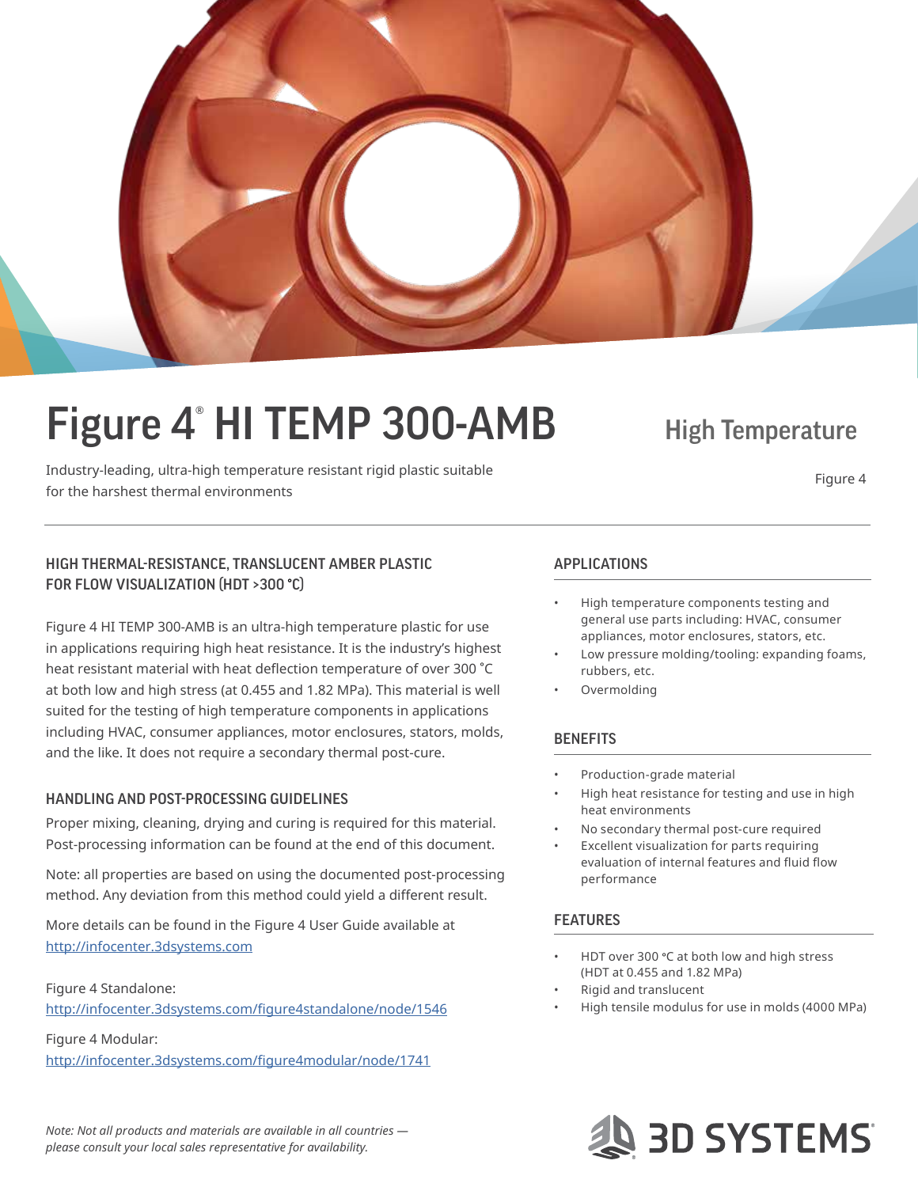

# Figure 4<sup>®</sup> HI TEMP 300-AMB High Temperature

Industry-leading, ultra-high temperature resistant rigid plastic suitable for the harshest thermal environments<br>for the harshest thermal environments

#### HIGH THERMAL-RESISTANCE, TRANSLUCENT AMBER PLASTIC FOR FLOW VISUALIZATION (HDT >300 **°**C)

Figure 4 HI TEMP 300-AMB is an ultra-high temperature plastic for use in applications requiring high heat resistance. It is the industry's highest heat resistant material with heat deflection temperature of over 300 °C at both low and high stress (at 0.455 and 1.82 MPa). This material is well suited for the testing of high temperature components in applications including HVAC, consumer appliances, motor enclosures, stators, molds, and the like. It does not require a secondary thermal post-cure.

#### HANDLING AND POST-PROCESSING GUIDELINES

Proper mixing, cleaning, drying and curing is required for this material. Post-processing information can be found at the end of this document.

Note: all properties are based on using the documented post-processing method. Any deviation from this method could yield a different result.

More details can be found in the Figure 4 User Guide available at <http://infocenter.3dsystems.com>

Figure 4 Standalone: http://infocenter.3dsystems.com/figure4standalone/node/1546

Figure 4 Modular: http://infocenter.3dsystems.com/figure4modular/node/1741

*Note: Not all products and materials are available in all countries please consult your local sales representative for availability.*

#### APPLICATIONS

- High temperature components testing and general use parts including: HVAC, consumer appliances, motor enclosures, stators, etc.
- Low pressure molding/tooling: expanding foams, rubbers, etc.
- Overmolding

#### **BENEFITS**

- Production-grade material
- High heat resistance for testing and use in high heat environments
- No secondary thermal post-cure required
- Excellent visualization for parts requiring evaluation of internal features and fluid flow performance

#### **FEATURES**

- HDT over 300 °C at both low and high stress (HDT at 0.455 and 1.82 MPa)
- Rigid and translucent
- High tensile modulus for use in molds (4000 MPa)

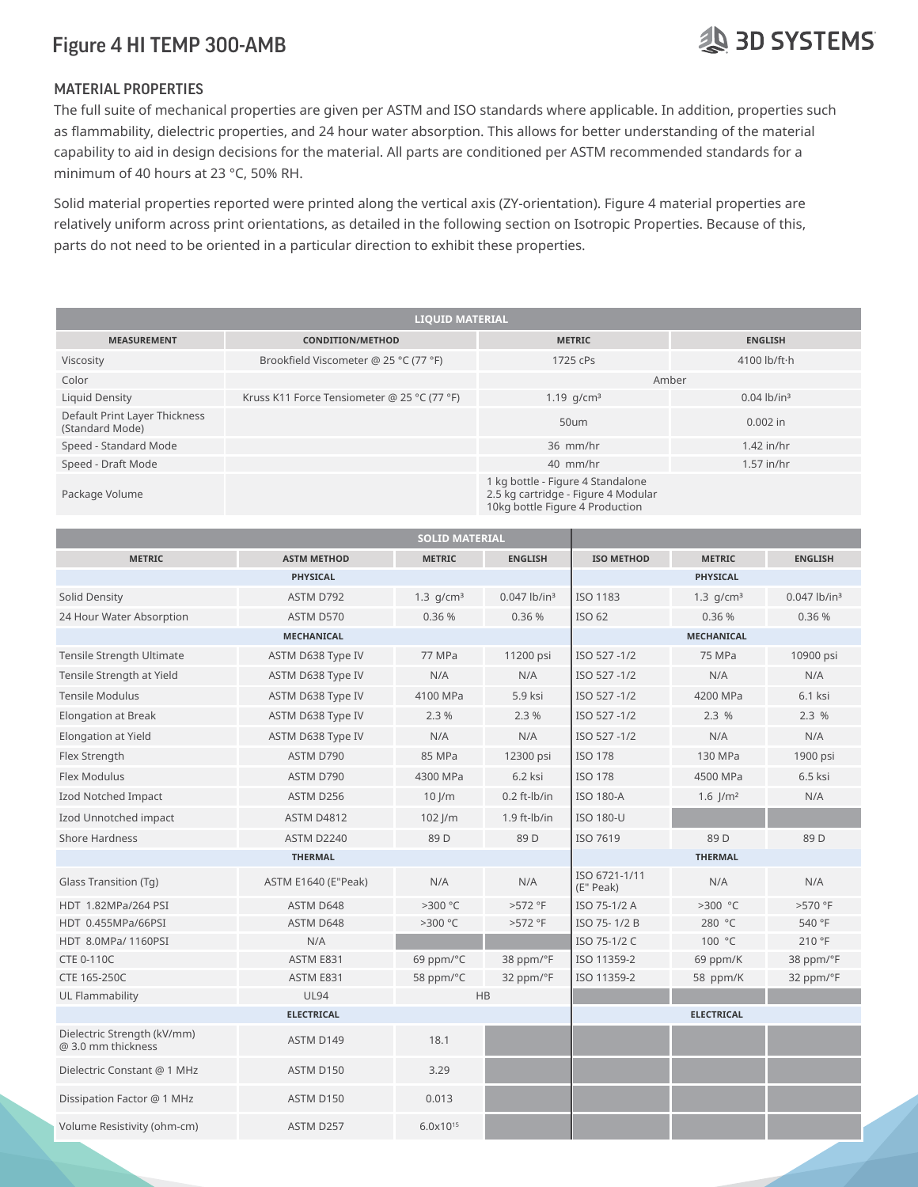### **29 3D SYSTEMS**

#### MATERIAL PROPERTIES

The full suite of mechanical properties are given per ASTM and ISO standards where applicable. In addition, properties such as flammability, dielectric properties, and 24 hour water absorption. This allows for better understanding of the material capability to aid in design decisions for the material. All parts are conditioned per ASTM recommended standards for a minimum of 40 hours at 23 °C, 50% RH.

Solid material properties reported were printed along the vertical axis (ZY-orientation). Figure 4 material properties are relatively uniform across print orientations, as detailed in the following section on Isotropic Properties. Because of this, parts do not need to be oriented in a particular direction to exhibit these properties.

| <b>LIQUID MATERIAL</b>                           |                                             |                                                                                                             |                           |  |
|--------------------------------------------------|---------------------------------------------|-------------------------------------------------------------------------------------------------------------|---------------------------|--|
| <b>MEASUREMENT</b>                               | <b>CONDITION/METHOD</b>                     | <b>METRIC</b>                                                                                               | <b>ENGLISH</b>            |  |
| Viscosity                                        | Brookfield Viscometer @ 25 °C (77 °F)       | 1725 cPs                                                                                                    | 4100 lb/ft·h              |  |
| Color                                            |                                             | Amber                                                                                                       |                           |  |
| Liquid Density                                   | Kruss K11 Force Tensiometer @ 25 °C (77 °F) | 1.19 $q/cm^3$                                                                                               | $0.04$ lb/in <sup>3</sup> |  |
| Default Print Layer Thickness<br>(Standard Mode) |                                             | 50um                                                                                                        | $0.002$ in                |  |
| Speed - Standard Mode                            |                                             | 36 mm/hr                                                                                                    | $1.42$ in/hr              |  |
| Speed - Draft Mode                               |                                             | 40 mm/hr                                                                                                    | $1.57$ in/hr              |  |
| Package Volume                                   |                                             | 1 kg bottle - Figure 4 Standalone<br>2.5 kg cartridge - Figure 4 Modular<br>10kg bottle Figure 4 Production |                           |  |

|                                                   |                     | <b>SOLID MATERIAL</b> |                            |                            |                       |                            |
|---------------------------------------------------|---------------------|-----------------------|----------------------------|----------------------------|-----------------------|----------------------------|
| <b>METRIC</b>                                     | <b>ASTM METHOD</b>  | <b>METRIC</b>         | <b>ENGLISH</b>             | <b>ISO METHOD</b>          | <b>METRIC</b>         | <b>ENGLISH</b>             |
|                                                   | <b>PHYSICAL</b>     |                       |                            |                            | <b>PHYSICAL</b>       |                            |
| Solid Density                                     | ASTM D792           | 1.3 $q/cm^3$          | $0.047$ lb/in <sup>3</sup> | ISO 1183                   | 1.3 $q/cm^3$          | $0.047$ lb/in <sup>3</sup> |
| 24 Hour Water Absorption                          | ASTM D570           | 0.36 %                | 0.36%                      | ISO 62                     | 0.36 %                | 0.36%                      |
|                                                   | <b>MECHANICAL</b>   |                       |                            | <b>MECHANICAL</b>          |                       |                            |
| Tensile Strength Ultimate                         | ASTM D638 Type IV   | 77 MPa                | 11200 psi                  | ISO 527-1/2                | 75 MPa                | 10900 psi                  |
| Tensile Strength at Yield                         | ASTM D638 Type IV   | N/A                   | N/A                        | ISO 527-1/2                | N/A                   | N/A                        |
| <b>Tensile Modulus</b>                            | ASTM D638 Type IV   | 4100 MPa              | 5.9 ksi                    | ISO 527-1/2                | 4200 MPa              | 6.1 ksi                    |
| <b>Elongation at Break</b>                        | ASTM D638 Type IV   | 2.3%                  | 2.3%                       | ISO 527-1/2                | 2.3%                  | 2.3%                       |
| Elongation at Yield                               | ASTM D638 Type IV   | N/A                   | N/A                        | ISO 527-1/2                | N/A                   | N/A                        |
| Flex Strength                                     | ASTM D790           | 85 MPa                | 12300 psi                  | <b>ISO 178</b>             | 130 MPa               | 1900 psi                   |
| Flex Modulus                                      | ASTM D790           | 4300 MPa              | 6.2 ksi                    | <b>ISO 178</b>             | 4500 MPa              | 6.5 ksi                    |
| Izod Notched Impact                               | ASTM D256           | $10$ $\mu$            | $0.2$ ft- $lb/in$          | <b>ISO 180-A</b>           | $1.6$ $\frac{1}{m^2}$ | N/A                        |
| Izod Unnotched impact                             | <b>ASTM D4812</b>   | $102$ J/m             | $1.9$ ft- $lb/in$          | <b>ISO 180-U</b>           |                       |                            |
| <b>Shore Hardness</b>                             | <b>ASTM D2240</b>   | 89 <sub>D</sub>       | 89 <sub>D</sub>            | ISO 7619                   | 89 <sub>D</sub>       | 89 D                       |
|                                                   | <b>THERMAL</b>      |                       |                            |                            | <b>THERMAL</b>        |                            |
| Glass Transition (Tg)                             | ASTM E1640 (E"Peak) | N/A                   | N/A                        | ISO 6721-1/11<br>(E" Peak) | N/A                   | N/A                        |
| HDT 1.82MPa/264 PSI                               | ASTM D648           | >300 °C               | >572 °F                    | ISO 75-1/2 A               | >300 °C               | >570 °F                    |
| HDT 0.455MPa/66PSI                                | ASTM D648           | >300 °C               | >572 °F                    | ISO 75-1/2 B               | 280 °C                | 540 °F                     |
| HDT 8.0MPa/ 1160PSI                               | N/A                 |                       |                            | ISO 75-1/2 C               | 100 °C                | 210 °F                     |
| <b>CTE 0-110C</b>                                 | ASTM E831           | 69 ppm/°C             | 38 ppm/°F                  | ISO 11359-2                | 69 ppm/K              | 38 ppm/°F                  |
| CTE 165-250C                                      | ASTM E831           | 58 ppm/°C             | 32 ppm/°F                  | ISO 11359-2                | 58 ppm/K              | 32 ppm/°F                  |
| UL Flammability                                   | <b>UL94</b>         |                       | HB                         |                            |                       |                            |
|                                                   | <b>ELECTRICAL</b>   |                       |                            |                            | <b>ELECTRICAL</b>     |                            |
| Dielectric Strength (kV/mm)<br>@ 3.0 mm thickness | ASTM D149           | 18.1                  |                            |                            |                       |                            |
| Dielectric Constant @ 1 MHz                       | ASTM D150           | 3.29                  |                            |                            |                       |                            |
| Dissipation Factor @ 1 MHz                        | ASTM D150           | 0.013                 |                            |                            |                       |                            |
| Volume Resistivity (ohm-cm)                       | ASTM D257           | $6.0x10^{15}$         |                            |                            |                       |                            |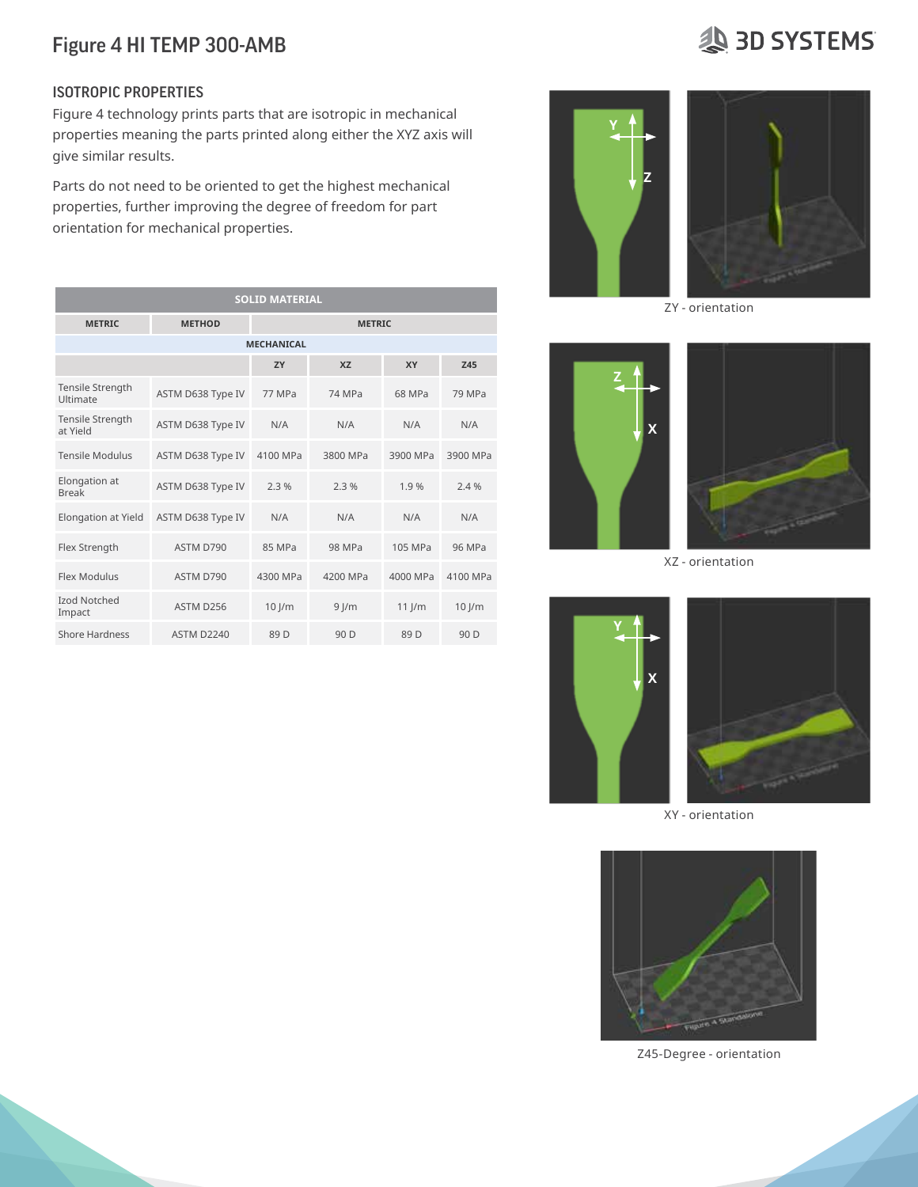## 3D SYSTEMS

#### ISOTROPIC PROPERTIES

Figure 4 technology prints parts that are isotropic in mechanical properties meaning the parts printed along either the XYZ axis will give similar results.

Parts do not need to be oriented to get the highest mechanical properties, further improving the degree of freedom for part orientation for mechanical properties.

| <b>SOLID MATERIAL</b>         |                   |                 |                 |                 |          |  |
|-------------------------------|-------------------|-----------------|-----------------|-----------------|----------|--|
| <b>METRIC</b>                 | <b>METHOD</b>     | <b>METRIC</b>   |                 |                 |          |  |
| <b>MECHANICAL</b>             |                   |                 |                 |                 |          |  |
|                               |                   | <b>7Y</b>       | X7              | <b>XY</b>       | 745      |  |
| Tensile Strength<br>Ultimate  | ASTM D638 Type IV | 77 MPa          | 74 MPa          | 68 MPa          | 79 MPa   |  |
| Tensile Strength<br>at Yield  | ASTM D638 Type IV | N/A             | N/A             | N/A             | N/A      |  |
| <b>Tensile Modulus</b>        | ASTM D638 Type IV | 4100 MPa        | 3800 MPa        | 3900 MPa        | 3900 MPa |  |
| Elongation at<br><b>Break</b> | ASTM D638 Type IV | 2.3%            | 2.3%            | 1.9%            | 2.4%     |  |
| Elongation at Yield           | ASTM D638 Type IV | N/A             | N/A             | N/A             | N/A      |  |
| Flex Strength                 | ASTM D790         | 85 MPa          | 98 MPa          | 105 MPa         | 96 MPa   |  |
| Flex Modulus                  | ASTM D790         | 4300 MPa        | 4200 MPa        | 4000 MPa        | 4100 MPa |  |
| <b>Izod Notched</b><br>Impact | ASTM D256         | $10$ $\mu$      | $9$ $\mu$       | $11$ $\mu$      | $10$ J/m |  |
| <b>Shore Hardness</b>         | <b>ASTM D2240</b> | 89 <sub>D</sub> | 90 <sub>D</sub> | 89 <sub>D</sub> | 90 D     |  |



ZY - orientation



XZ - orientation



XY - orientation



Z45-Degree - orientation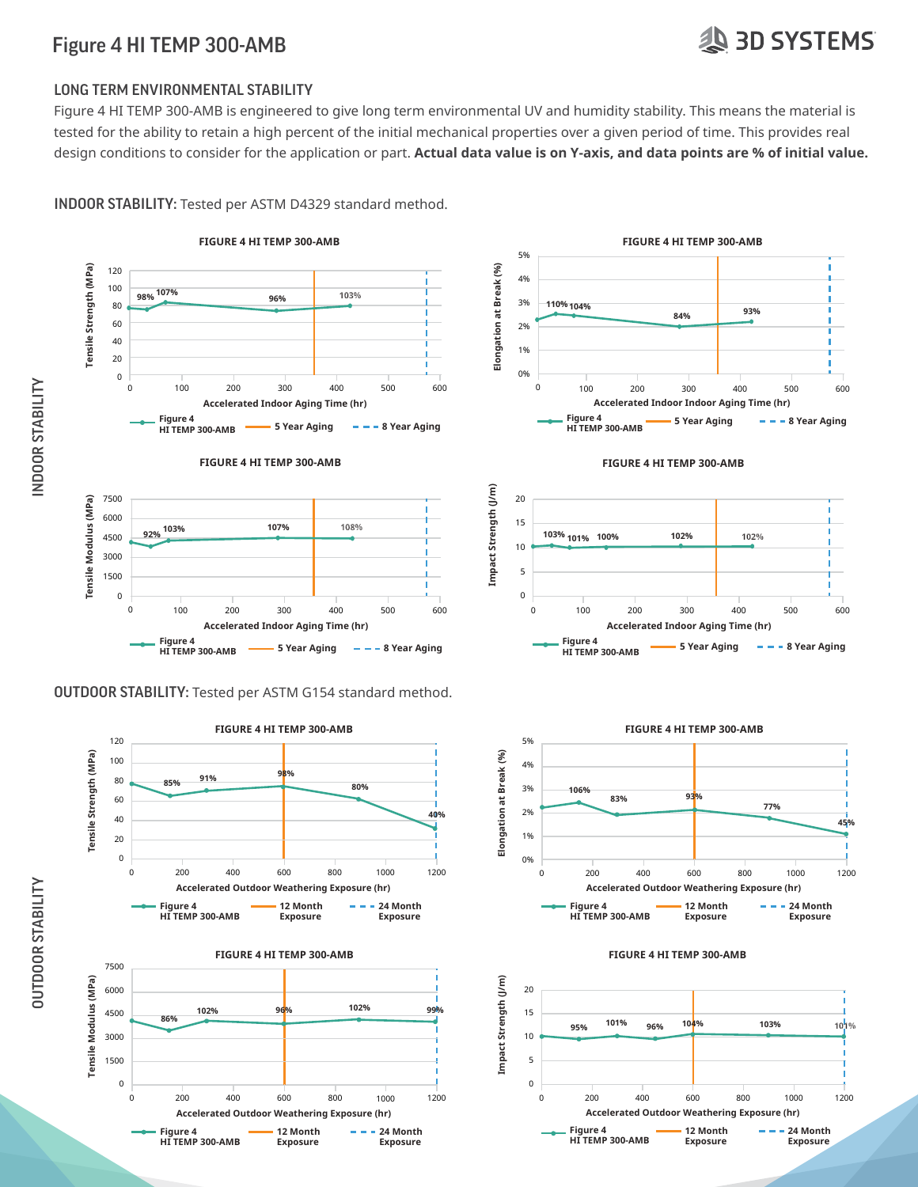## **19 3D SYSTEMS**

#### LONG TERM ENVIRONMENTAL STABILITY

Figure 4 HI TEMP 300-AMB is engineered to give long term environmental UV and humidity stability. This means the material is tested for the ability to retain a high percent of the initial mechanical properties over a given period of time. This provides real design conditions to consider for the application or part. **Actual data value is on Y-axis, and data points are % of initial value.** 

INDOOR STABILITY: Tested per ASTM D4329 standard method.

















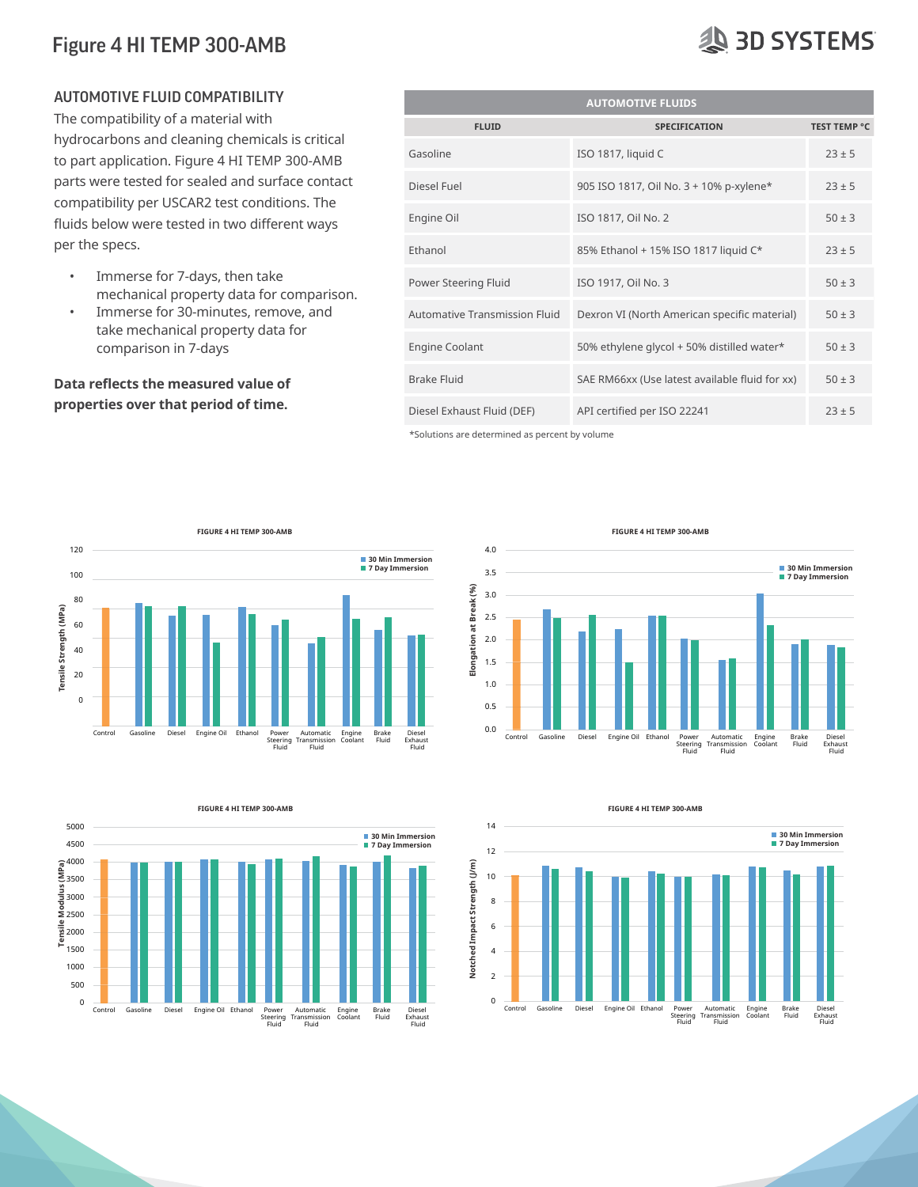#### AUTOMOTIVE FLUID COMPATIBILITY

The compatibility of a material with hydrocarbons and cleaning chemicals is critical to part application. Figure 4 HI TEMP 300-AMB parts were tested for sealed and surface contact compatibility per USCAR2 test conditions. The fluids below were tested in two different ways per the specs.

- Immerse for 7-days, then take mechanical property data for comparison.
- Immerse for 30-minutes, remove, and take mechanical property data for comparison in 7-days

#### **Data reflects the measured value of properties over that period of time.**

| <b>AUTOMOTIVE FLUIDS</b>      |                                                |                     |  |  |  |
|-------------------------------|------------------------------------------------|---------------------|--|--|--|
| <b>FLUID</b>                  | <b>SPECIFICATION</b>                           | <b>TEST TEMP °C</b> |  |  |  |
| Gasoline                      | ISO 1817, liquid C                             | $23 \pm 5$          |  |  |  |
| Diesel Fuel                   | 905 ISO 1817, Oil No. 3 + 10% p-xylene*        | $23 \pm 5$          |  |  |  |
| Engine Oil                    | ISO 1817, Oil No. 2                            | $50 \pm 3$          |  |  |  |
| Ethanol                       | 85% Ethanol + 15% ISO 1817 liquid C*           | $23 \pm 5$          |  |  |  |
| Power Steering Fluid          | ISO 1917, Oil No. 3                            | $50 \pm 3$          |  |  |  |
| Automative Transmission Fluid | Dexron VI (North American specific material)   | $50 \pm 3$          |  |  |  |
| <b>Engine Coolant</b>         | 50% ethylene glycol + 50% distilled water*     | $50 \pm 3$          |  |  |  |
| <b>Brake Fluid</b>            | SAE RM66xx (Use latest available fluid for xx) | $50 \pm 3$          |  |  |  |
| Diesel Exhaust Fluid (DEF)    | API certified per ISO 22241                    | $23 \pm 5$          |  |  |  |

\*Solutions are determined as percent by volume

4.0 3.5 3.0



**30 Min Immersion 7 Day Immersion**

**FIGURE 4 HI TEMP 300-AMB**









### **SD SYSTEMS**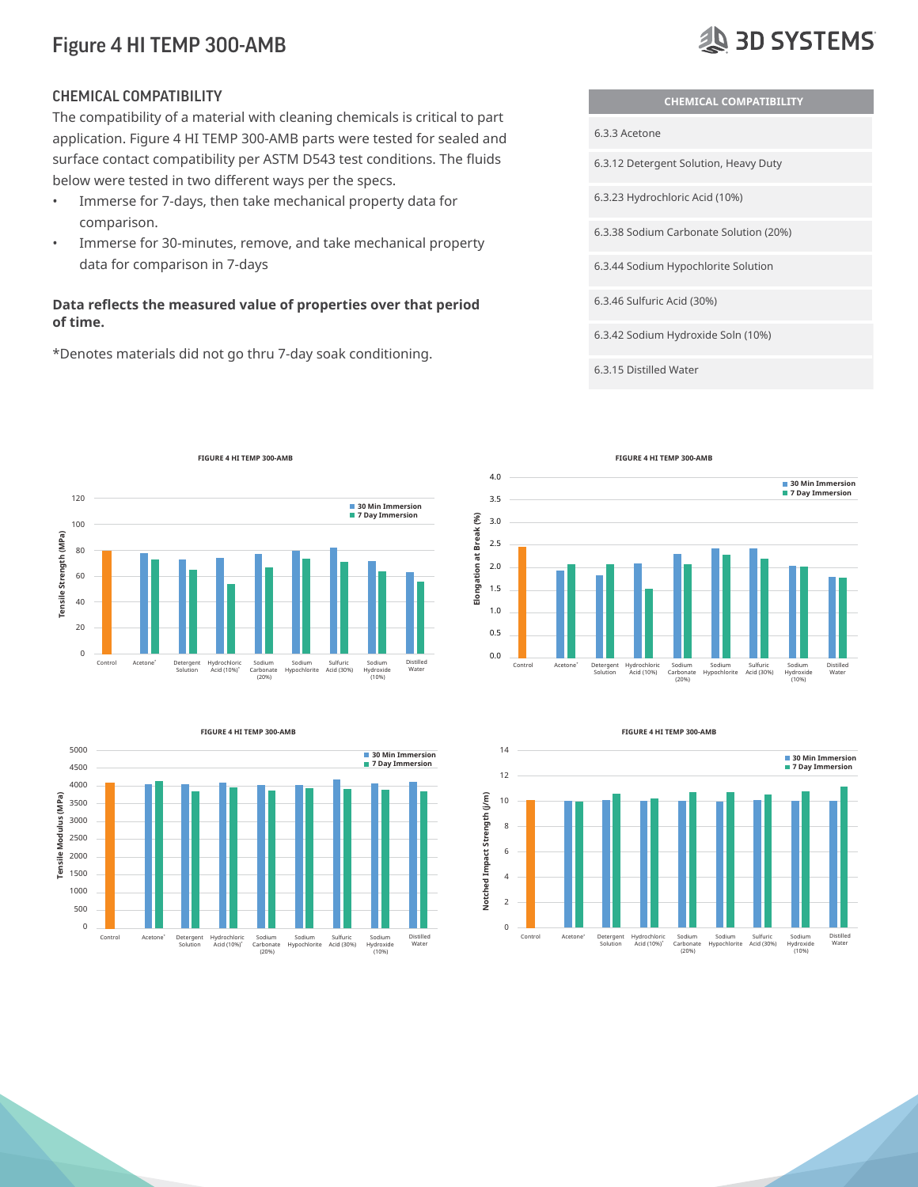#### CHEMICAL COMPATIBILITY

The compatibility of a material with cleaning chemicals is critical to part application. Figure 4 HI TEMP 300-AMB parts were tested for sealed and surface contact compatibility per ASTM D543 test conditions. The fluids below were tested in two different ways per the specs.

- Immerse for 7-days, then take mechanical property data for comparison.
- Immerse for 30-minutes, remove, and take mechanical property data for comparison in 7-days

#### **Data reflects the measured value of properties over that period of time.**

\*Denotes materials did not go thru 7-day soak conditioning.



**SD SYSTEMS** 









(20%)

(10%)

#### **FIGURE 4 HI TEMP 300-AMB**